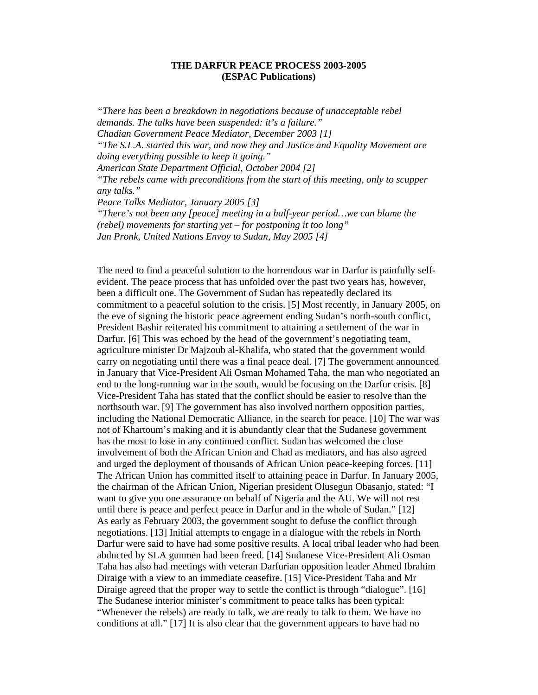## **THE DARFUR PEACE PROCESS 2003-2005 (ESPAC Publications)**

*"There has been a breakdown in negotiations because of unacceptable rebel demands. The talks have been suspended: it's a failure." Chadian Government Peace Mediator, December 2003 [1] "The S.L.A. started this war, and now they and Justice and Equality Movement are doing everything possible to keep it going." American State Department Official, October 2004 [2] "The rebels came with preconditions from the start of this meeting, only to scupper any talks." Peace Talks Mediator, January 2005 [3] "There's not been any [peace] meeting in a half-year period…we can blame the (rebel) movements for starting yet – for postponing it too long"* 

*Jan Pronk, United Nations Envoy to Sudan, May 2005 [4]*

The need to find a peaceful solution to the horrendous war in Darfur is painfully selfevident. The peace process that has unfolded over the past two years has, however, been a difficult one. The Government of Sudan has repeatedly declared its commitment to a peaceful solution to the crisis. [5] Most recently, in January 2005, on the eve of signing the historic peace agreement ending Sudan's north-south conflict, President Bashir reiterated his commitment to attaining a settlement of the war in Darfur. [6] This was echoed by the head of the government's negotiating team, agriculture minister Dr Majzoub al-Khalifa, who stated that the government would carry on negotiating until there was a final peace deal. [7] The government announced in January that Vice-President Ali Osman Mohamed Taha, the man who negotiated an end to the long-running war in the south, would be focusing on the Darfur crisis. [8] Vice-President Taha has stated that the conflict should be easier to resolve than the northsouth war. [9] The government has also involved northern opposition parties, including the National Democratic Alliance, in the search for peace. [10] The war was not of Khartoum's making and it is abundantly clear that the Sudanese government has the most to lose in any continued conflict. Sudan has welcomed the close involvement of both the African Union and Chad as mediators, and has also agreed and urged the deployment of thousands of African Union peace-keeping forces. [11] The African Union has committed itself to attaining peace in Darfur. In January 2005, the chairman of the African Union, Nigerian president Olusegun Obasanjo, stated: "I want to give you one assurance on behalf of Nigeria and the AU. We will not rest until there is peace and perfect peace in Darfur and in the whole of Sudan." [12] As early as February 2003, the government sought to defuse the conflict through negotiations. [13] Initial attempts to engage in a dialogue with the rebels in North Darfur were said to have had some positive results. A local tribal leader who had been abducted by SLA gunmen had been freed. [14] Sudanese Vice-President Ali Osman Taha has also had meetings with veteran Darfurian opposition leader Ahmed Ibrahim Diraige with a view to an immediate ceasefire. [15] Vice-President Taha and Mr Diraige agreed that the proper way to settle the conflict is through "dialogue". [16] The Sudanese interior minister's commitment to peace talks has been typical: "Whenever the rebels) are ready to talk, we are ready to talk to them. We have no conditions at all." [17] It is also clear that the government appears to have had no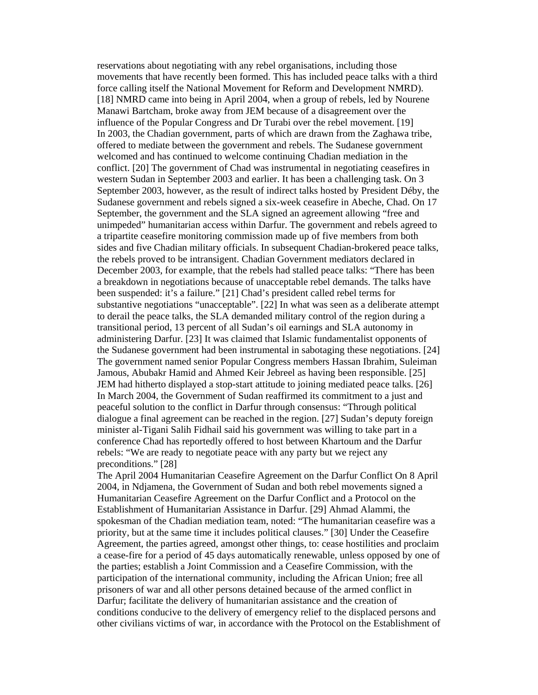reservations about negotiating with any rebel organisations, including those movements that have recently been formed. This has included peace talks with a third force calling itself the National Movement for Reform and Development NMRD). [18] NMRD came into being in April 2004, when a group of rebels, led by Nourene Manawi Bartcham, broke away from JEM because of a disagreement over the influence of the Popular Congress and Dr Turabi over the rebel movement. [19] In 2003, the Chadian government, parts of which are drawn from the Zaghawa tribe, offered to mediate between the government and rebels. The Sudanese government welcomed and has continued to welcome continuing Chadian mediation in the conflict. [20] The government of Chad was instrumental in negotiating ceasefires in western Sudan in September 2003 and earlier. It has been a challenging task. On 3 September 2003, however, as the result of indirect talks hosted by President Déby, the Sudanese government and rebels signed a six-week ceasefire in Abeche, Chad. On 17 September, the government and the SLA signed an agreement allowing "free and unimpeded" humanitarian access within Darfur. The government and rebels agreed to a tripartite ceasefire monitoring commission made up of five members from both sides and five Chadian military officials. In subsequent Chadian-brokered peace talks, the rebels proved to be intransigent. Chadian Government mediators declared in December 2003, for example, that the rebels had stalled peace talks: "There has been a breakdown in negotiations because of unacceptable rebel demands. The talks have been suspended: it's a failure." [21] Chad's president called rebel terms for substantive negotiations "unacceptable". [22] In what was seen as a deliberate attempt to derail the peace talks, the SLA demanded military control of the region during a transitional period, 13 percent of all Sudan's oil earnings and SLA autonomy in administering Darfur. [23] It was claimed that Islamic fundamentalist opponents of the Sudanese government had been instrumental in sabotaging these negotiations. [24] The government named senior Popular Congress members Hassan Ibrahim, Suleiman Jamous, Abubakr Hamid and Ahmed Keir Jebreel as having been responsible. [25] JEM had hitherto displayed a stop-start attitude to joining mediated peace talks. [26] In March 2004, the Government of Sudan reaffirmed its commitment to a just and peaceful solution to the conflict in Darfur through consensus: "Through political dialogue a final agreement can be reached in the region. [27] Sudan's deputy foreign minister al-Tigani Salih Fidhail said his government was willing to take part in a conference Chad has reportedly offered to host between Khartoum and the Darfur rebels: "We are ready to negotiate peace with any party but we reject any preconditions." [28]

The April 2004 Humanitarian Ceasefire Agreement on the Darfur Conflict On 8 April 2004, in Ndjamena, the Government of Sudan and both rebel movements signed a Humanitarian Ceasefire Agreement on the Darfur Conflict and a Protocol on the Establishment of Humanitarian Assistance in Darfur. [29] Ahmad Alammi, the spokesman of the Chadian mediation team, noted: "The humanitarian ceasefire was a priority, but at the same time it includes political clauses." [30] Under the Ceasefire Agreement, the parties agreed, amongst other things, to: cease hostilities and proclaim a cease-fire for a period of 45 days automatically renewable, unless opposed by one of the parties; establish a Joint Commission and a Ceasefire Commission, with the participation of the international community, including the African Union; free all prisoners of war and all other persons detained because of the armed conflict in Darfur; facilitate the delivery of humanitarian assistance and the creation of conditions conducive to the delivery of emergency relief to the displaced persons and other civilians victims of war, in accordance with the Protocol on the Establishment of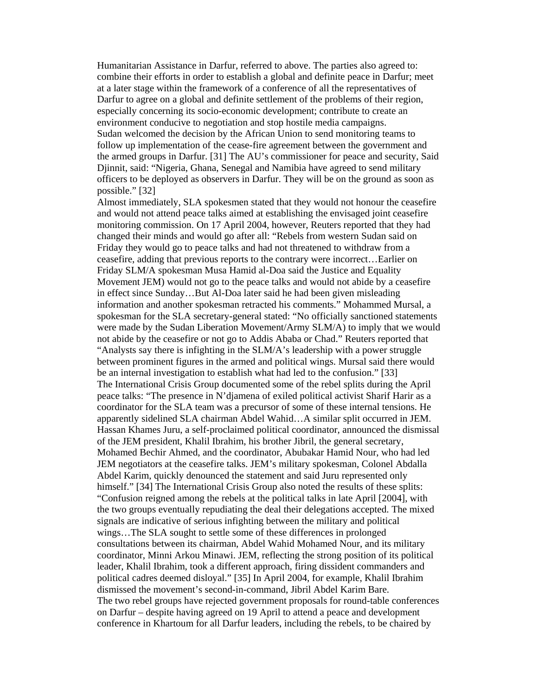Humanitarian Assistance in Darfur, referred to above. The parties also agreed to: combine their efforts in order to establish a global and definite peace in Darfur; meet at a later stage within the framework of a conference of all the representatives of Darfur to agree on a global and definite settlement of the problems of their region, especially concerning its socio-economic development; contribute to create an environment conducive to negotiation and stop hostile media campaigns. Sudan welcomed the decision by the African Union to send monitoring teams to follow up implementation of the cease-fire agreement between the government and the armed groups in Darfur. [31] The AU's commissioner for peace and security, Said Djinnit, said: "Nigeria, Ghana, Senegal and Namibia have agreed to send military officers to be deployed as observers in Darfur. They will be on the ground as soon as possible." [32]

Almost immediately, SLA spokesmen stated that they would not honour the ceasefire and would not attend peace talks aimed at establishing the envisaged joint ceasefire monitoring commission. On 17 April 2004, however, Reuters reported that they had changed their minds and would go after all: "Rebels from western Sudan said on Friday they would go to peace talks and had not threatened to withdraw from a ceasefire, adding that previous reports to the contrary were incorrect…Earlier on Friday SLM/A spokesman Musa Hamid al-Doa said the Justice and Equality Movement JEM) would not go to the peace talks and would not abide by a ceasefire in effect since Sunday…But Al-Doa later said he had been given misleading information and another spokesman retracted his comments." Mohammed Mursal, a spokesman for the SLA secretary-general stated: "No officially sanctioned statements were made by the Sudan Liberation Movement/Army SLM/A) to imply that we would not abide by the ceasefire or not go to Addis Ababa or Chad." Reuters reported that "Analysts say there is infighting in the SLM/A's leadership with a power struggle between prominent figures in the armed and political wings. Mursal said there would be an internal investigation to establish what had led to the confusion." [33] The International Crisis Group documented some of the rebel splits during the April peace talks: "The presence in N'djamena of exiled political activist Sharif Harir as a coordinator for the SLA team was a precursor of some of these internal tensions. He apparently sidelined SLA chairman Abdel Wahid…A similar split occurred in JEM. Hassan Khames Juru, a self-proclaimed political coordinator, announced the dismissal of the JEM president, Khalil Ibrahim, his brother Jibril, the general secretary, Mohamed Bechir Ahmed, and the coordinator, Abubakar Hamid Nour, who had led JEM negotiators at the ceasefire talks. JEM's military spokesman, Colonel Abdalla Abdel Karim, quickly denounced the statement and said Juru represented only himself." [34] The International Crisis Group also noted the results of these splits: "Confusion reigned among the rebels at the political talks in late April [2004], with the two groups eventually repudiating the deal their delegations accepted. The mixed signals are indicative of serious infighting between the military and political wings…The SLA sought to settle some of these differences in prolonged consultations between its chairman, Abdel Wahid Mohamed Nour, and its military coordinator, Minni Arkou Minawi. JEM, reflecting the strong position of its political leader, Khalil Ibrahim, took a different approach, firing dissident commanders and political cadres deemed disloyal." [35] In April 2004, for example, Khalil Ibrahim dismissed the movement's second-in-command, Jibril Abdel Karim Bare. The two rebel groups have rejected government proposals for round-table conferences on Darfur – despite having agreed on 19 April to attend a peace and development conference in Khartoum for all Darfur leaders, including the rebels, to be chaired by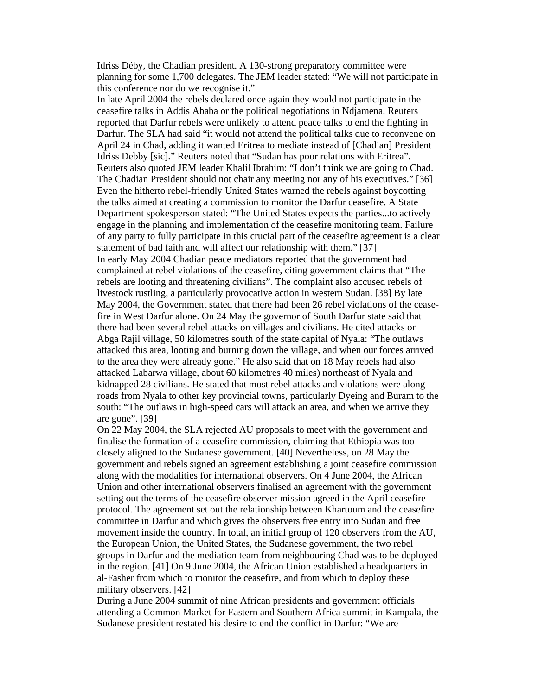Idriss Déby, the Chadian president. A 130-strong preparatory committee were planning for some 1,700 delegates. The JEM leader stated: "We will not participate in this conference nor do we recognise it."

In late April 2004 the rebels declared once again they would not participate in the ceasefire talks in Addis Ababa or the political negotiations in Ndjamena. Reuters reported that Darfur rebels were unlikely to attend peace talks to end the fighting in Darfur. The SLA had said "it would not attend the political talks due to reconvene on April 24 in Chad, adding it wanted Eritrea to mediate instead of [Chadian] President Idriss Debby [sic]." Reuters noted that "Sudan has poor relations with Eritrea". Reuters also quoted JEM leader Khalil Ibrahim: "I don't think we are going to Chad. The Chadian President should not chair any meeting nor any of his executives." [36] Even the hitherto rebel-friendly United States warned the rebels against boycotting the talks aimed at creating a commission to monitor the Darfur ceasefire. A State Department spokesperson stated: "The United States expects the parties...to actively engage in the planning and implementation of the ceasefire monitoring team. Failure of any party to fully participate in this crucial part of the ceasefire agreement is a clear statement of bad faith and will affect our relationship with them." [37] In early May 2004 Chadian peace mediators reported that the government had complained at rebel violations of the ceasefire, citing government claims that "The rebels are looting and threatening civilians". The complaint also accused rebels of livestock rustling, a particularly provocative action in western Sudan. [38] By late May 2004, the Government stated that there had been 26 rebel violations of the ceasefire in West Darfur alone. On 24 May the governor of South Darfur state said that there had been several rebel attacks on villages and civilians. He cited attacks on Abga Rajil village, 50 kilometres south of the state capital of Nyala: "The outlaws attacked this area, looting and burning down the village, and when our forces arrived to the area they were already gone." He also said that on 18 May rebels had also attacked Labarwa village, about 60 kilometres 40 miles) northeast of Nyala and kidnapped 28 civilians. He stated that most rebel attacks and violations were along roads from Nyala to other key provincial towns, particularly Dyeing and Buram to the south: "The outlaws in high-speed cars will attack an area, and when we arrive they are gone". [39]

On 22 May 2004, the SLA rejected AU proposals to meet with the government and finalise the formation of a ceasefire commission, claiming that Ethiopia was too closely aligned to the Sudanese government. [40] Nevertheless, on 28 May the government and rebels signed an agreement establishing a joint ceasefire commission along with the modalities for international observers. On 4 June 2004, the African Union and other international observers finalised an agreement with the government setting out the terms of the ceasefire observer mission agreed in the April ceasefire protocol. The agreement set out the relationship between Khartoum and the ceasefire committee in Darfur and which gives the observers free entry into Sudan and free movement inside the country. In total, an initial group of 120 observers from the AU, the European Union, the United States, the Sudanese government, the two rebel groups in Darfur and the mediation team from neighbouring Chad was to be deployed in the region. [41] On 9 June 2004, the African Union established a headquarters in al-Fasher from which to monitor the ceasefire, and from which to deploy these military observers. [42]

During a June 2004 summit of nine African presidents and government officials attending a Common Market for Eastern and Southern Africa summit in Kampala, the Sudanese president restated his desire to end the conflict in Darfur: "We are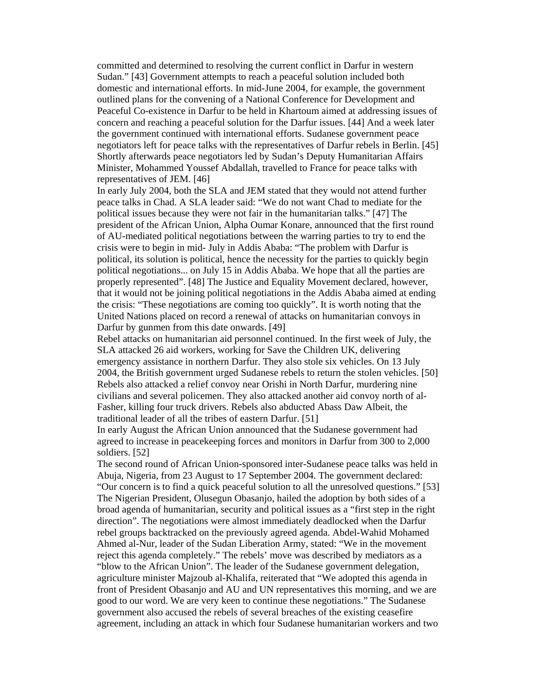committed and determined to resolving the current conflict in Darfur in western Sudan." [43] Government attempts to reach a peaceful solution included both domestic and international efforts. In mid-June 2004, for example, the government outlined plans for the convening of a National Conference for Development and Peaceful Co-existence in Darfur to be held in Khartoum aimed at addressing issues of concern and reaching a peaceful solution for the Darfur issues. [44] And a week later the government continued with international efforts. Sudanese government peace negotiators left for peace talks with the representatives of Darfur rebels in Berlin. [45] Shortly afterwards peace negotiators led by Sudan's Deputy Humanitarian Affairs Minister, Mohammed Youssef Abdallah, travelled to France for peace talks with representatives of JEM. [46]

In early July 2004, both the SLA and JEM stated that they would not attend further peace talks in Chad. A SLA leader said: "We do not want Chad to mediate for the political issues because they were not fair in the humanitarian talks." [47] The president of the African Union, Alpha Oumar Konare, announced that the first round of AU-mediated political negotiations between the warring parties to try to end the crisis were to begin in mid- July in Addis Ababa: "The problem with Darfur is political, its solution is political, hence the necessity for the parties to quickly begin political negotiations... on July 15 in Addis Ababa. We hope that all the parties are properly represented". [48] The Justice and Equality Movement declared, however, that it would not be joining political negotiations in the Addis Ababa aimed at ending the crisis: "These negotiations are coming too quickly". It is worth noting that the United Nations placed on record a renewal of attacks on humanitarian convoys in Darfur by gunmen from this date onwards. [49]

Rebel attacks on humanitarian aid personnel continued. In the first week of July, the SLA attacked 26 aid workers, working for Save the Children UK, delivering emergency assistance in northern Darfur. They also stole six vehicles. On 13 July 2004, the British government urged Sudanese rebels to return the stolen vehicles. [50] Rebels also attacked a relief convoy near Orishi in North Darfur, murdering nine civilians and several policemen. They also attacked another aid convoy north of al-Fasher, killing four truck drivers. Rebels also abducted Abass Daw Albeit, the traditional leader of all the tribes of eastern Darfur. [51]

In early August the African Union announced that the Sudanese government had agreed to increase in peacekeeping forces and monitors in Darfur from 300 to 2,000 soldiers. [52]

The second round of African Union-sponsored inter-Sudanese peace talks was held in Abuja, Nigeria, from 23 August to 17 September 2004. The government declared: "Our concern is to find a quick peaceful solution to all the unresolved questions." [53] The Nigerian President, Olusegun Obasanjo, hailed the adoption by both sides of a broad agenda of humanitarian, security and political issues as a "first step in the right direction". The negotiations were almost immediately deadlocked when the Darfur rebel groups backtracked on the previously agreed agenda. Abdel-Wahid Mohamed Ahmed al-Nur, leader of the Sudan Liberation Army, stated: "We in the movement reject this agenda completely." The rebels' move was described by mediators as a "blow to the African Union". The leader of the Sudanese government delegation, agriculture minister Majzoub al-Khalifa, reiterated that "We adopted this agenda in front of President Obasanjo and AU and UN representatives this morning, and we are good to our word. We are very keen to continue these negotiations." The Sudanese government also accused the rebels of several breaches of the existing ceasefire agreement, including an attack in which four Sudanese humanitarian workers and two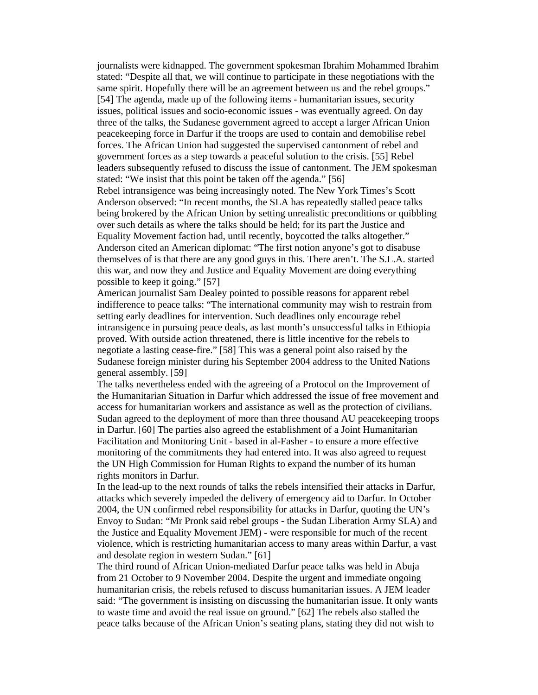journalists were kidnapped. The government spokesman Ibrahim Mohammed Ibrahim stated: "Despite all that, we will continue to participate in these negotiations with the same spirit. Hopefully there will be an agreement between us and the rebel groups." [54] The agenda, made up of the following items - humanitarian issues, security issues, political issues and socio-economic issues - was eventually agreed. On day three of the talks, the Sudanese government agreed to accept a larger African Union peacekeeping force in Darfur if the troops are used to contain and demobilise rebel forces. The African Union had suggested the supervised cantonment of rebel and government forces as a step towards a peaceful solution to the crisis. [55] Rebel leaders subsequently refused to discuss the issue of cantonment. The JEM spokesman stated: "We insist that this point be taken off the agenda." [56]

Rebel intransigence was being increasingly noted. The New York Times's Scott Anderson observed: "In recent months, the SLA has repeatedly stalled peace talks being brokered by the African Union by setting unrealistic preconditions or quibbling over such details as where the talks should be held; for its part the Justice and Equality Movement faction had, until recently, boycotted the talks altogether." Anderson cited an American diplomat: "The first notion anyone's got to disabuse themselves of is that there are any good guys in this. There aren't. The S.L.A. started this war, and now they and Justice and Equality Movement are doing everything possible to keep it going." [57]

American journalist Sam Dealey pointed to possible reasons for apparent rebel indifference to peace talks: "The international community may wish to restrain from setting early deadlines for intervention. Such deadlines only encourage rebel intransigence in pursuing peace deals, as last month's unsuccessful talks in Ethiopia proved. With outside action threatened, there is little incentive for the rebels to negotiate a lasting cease-fire." [58] This was a general point also raised by the Sudanese foreign minister during his September 2004 address to the United Nations general assembly. [59]

The talks nevertheless ended with the agreeing of a Protocol on the Improvement of the Humanitarian Situation in Darfur which addressed the issue of free movement and access for humanitarian workers and assistance as well as the protection of civilians. Sudan agreed to the deployment of more than three thousand AU peacekeeping troops in Darfur. [60] The parties also agreed the establishment of a Joint Humanitarian Facilitation and Monitoring Unit - based in al-Fasher - to ensure a more effective monitoring of the commitments they had entered into. It was also agreed to request the UN High Commission for Human Rights to expand the number of its human rights monitors in Darfur.

In the lead-up to the next rounds of talks the rebels intensified their attacks in Darfur, attacks which severely impeded the delivery of emergency aid to Darfur. In October 2004, the UN confirmed rebel responsibility for attacks in Darfur, quoting the UN's Envoy to Sudan: "Mr Pronk said rebel groups - the Sudan Liberation Army SLA) and the Justice and Equality Movement JEM) - were responsible for much of the recent violence, which is restricting humanitarian access to many areas within Darfur, a vast and desolate region in western Sudan." [61]

The third round of African Union-mediated Darfur peace talks was held in Abuja from 21 October to 9 November 2004. Despite the urgent and immediate ongoing humanitarian crisis, the rebels refused to discuss humanitarian issues. A JEM leader said: "The government is insisting on discussing the humanitarian issue. It only wants to waste time and avoid the real issue on ground." [62] The rebels also stalled the peace talks because of the African Union's seating plans, stating they did not wish to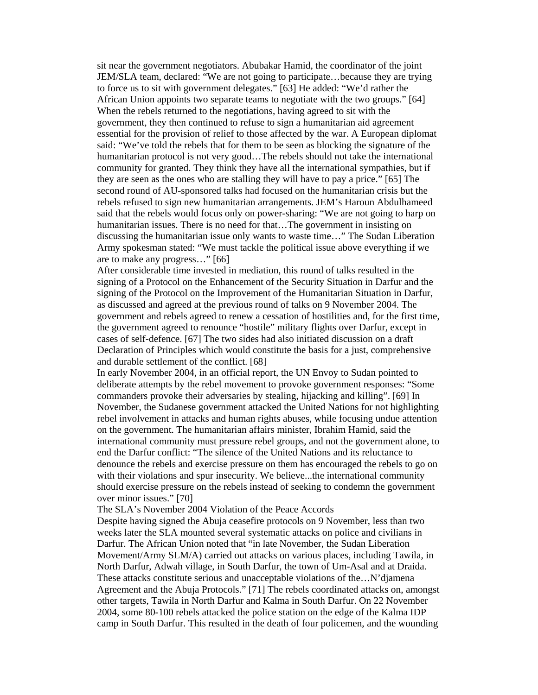sit near the government negotiators. Abubakar Hamid, the coordinator of the joint JEM/SLA team, declared: "We are not going to participate…because they are trying to force us to sit with government delegates." [63] He added: "We'd rather the African Union appoints two separate teams to negotiate with the two groups." [64] When the rebels returned to the negotiations, having agreed to sit with the government, they then continued to refuse to sign a humanitarian aid agreement essential for the provision of relief to those affected by the war. A European diplomat said: "We've told the rebels that for them to be seen as blocking the signature of the humanitarian protocol is not very good…The rebels should not take the international community for granted. They think they have all the international sympathies, but if they are seen as the ones who are stalling they will have to pay a price." [65] The second round of AU-sponsored talks had focused on the humanitarian crisis but the rebels refused to sign new humanitarian arrangements. JEM's Haroun Abdulhameed said that the rebels would focus only on power-sharing: "We are not going to harp on humanitarian issues. There is no need for that…The government in insisting on discussing the humanitarian issue only wants to waste time…" The Sudan Liberation Army spokesman stated: "We must tackle the political issue above everything if we are to make any progress…" [66]

After considerable time invested in mediation, this round of talks resulted in the signing of a Protocol on the Enhancement of the Security Situation in Darfur and the signing of the Protocol on the Improvement of the Humanitarian Situation in Darfur, as discussed and agreed at the previous round of talks on 9 November 2004. The government and rebels agreed to renew a cessation of hostilities and, for the first time, the government agreed to renounce "hostile" military flights over Darfur, except in cases of self-defence. [67] The two sides had also initiated discussion on a draft Declaration of Principles which would constitute the basis for a just, comprehensive and durable settlement of the conflict. [68]

In early November 2004, in an official report, the UN Envoy to Sudan pointed to deliberate attempts by the rebel movement to provoke government responses: "Some commanders provoke their adversaries by stealing, hijacking and killing". [69] In November, the Sudanese government attacked the United Nations for not highlighting rebel involvement in attacks and human rights abuses, while focusing undue attention on the government. The humanitarian affairs minister, Ibrahim Hamid, said the international community must pressure rebel groups, and not the government alone, to end the Darfur conflict: "The silence of the United Nations and its reluctance to denounce the rebels and exercise pressure on them has encouraged the rebels to go on with their violations and spur insecurity. We believe...the international community should exercise pressure on the rebels instead of seeking to condemn the government over minor issues." [70]

The SLA's November 2004 Violation of the Peace Accords

Despite having signed the Abuja ceasefire protocols on 9 November, less than two weeks later the SLA mounted several systematic attacks on police and civilians in Darfur. The African Union noted that "in late November, the Sudan Liberation Movement/Army SLM/A) carried out attacks on various places, including Tawila, in North Darfur, Adwah village, in South Darfur, the town of Um-Asal and at Draida. These attacks constitute serious and unacceptable violations of the...N'djamena Agreement and the Abuja Protocols." [71] The rebels coordinated attacks on, amongst other targets, Tawila in North Darfur and Kalma in South Darfur. On 22 November 2004, some 80-100 rebels attacked the police station on the edge of the Kalma IDP camp in South Darfur. This resulted in the death of four policemen, and the wounding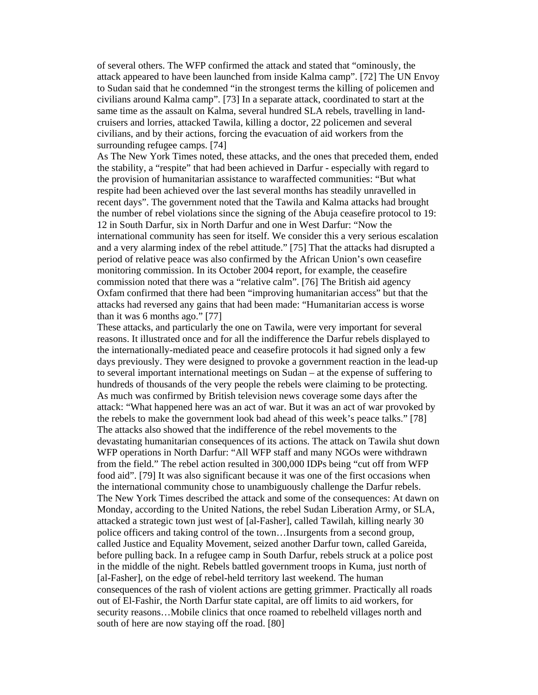of several others. The WFP confirmed the attack and stated that "ominously, the attack appeared to have been launched from inside Kalma camp". [72] The UN Envoy to Sudan said that he condemned "in the strongest terms the killing of policemen and civilians around Kalma camp". [73] In a separate attack, coordinated to start at the same time as the assault on Kalma, several hundred SLA rebels, travelling in landcruisers and lorries, attacked Tawila, killing a doctor, 22 policemen and several civilians, and by their actions, forcing the evacuation of aid workers from the surrounding refugee camps. [74]

As The New York Times noted, these attacks, and the ones that preceded them, ended the stability, a "respite" that had been achieved in Darfur - especially with regard to the provision of humanitarian assistance to waraffected communities: "But what respite had been achieved over the last several months has steadily unravelled in recent days". The government noted that the Tawila and Kalma attacks had brought the number of rebel violations since the signing of the Abuja ceasefire protocol to 19: 12 in South Darfur, six in North Darfur and one in West Darfur: "Now the international community has seen for itself. We consider this a very serious escalation and a very alarming index of the rebel attitude." [75] That the attacks had disrupted a period of relative peace was also confirmed by the African Union's own ceasefire monitoring commission. In its October 2004 report, for example, the ceasefire commission noted that there was a "relative calm". [76] The British aid agency Oxfam confirmed that there had been "improving humanitarian access" but that the attacks had reversed any gains that had been made: "Humanitarian access is worse than it was 6 months ago." [77]

These attacks, and particularly the one on Tawila, were very important for several reasons. It illustrated once and for all the indifference the Darfur rebels displayed to the internationally-mediated peace and ceasefire protocols it had signed only a few days previously. They were designed to provoke a government reaction in the lead-up to several important international meetings on Sudan – at the expense of suffering to hundreds of thousands of the very people the rebels were claiming to be protecting. As much was confirmed by British television news coverage some days after the attack: "What happened here was an act of war. But it was an act of war provoked by the rebels to make the government look bad ahead of this week's peace talks." [78] The attacks also showed that the indifference of the rebel movements to the devastating humanitarian consequences of its actions. The attack on Tawila shut down WFP operations in North Darfur: "All WFP staff and many NGOs were withdrawn from the field." The rebel action resulted in 300,000 IDPs being "cut off from WFP food aid". [79] It was also significant because it was one of the first occasions when the international community chose to unambiguously challenge the Darfur rebels. The New York Times described the attack and some of the consequences: At dawn on Monday, according to the United Nations, the rebel Sudan Liberation Army, or SLA, attacked a strategic town just west of [al-Fasher], called Tawilah, killing nearly 30 police officers and taking control of the town…Insurgents from a second group, called Justice and Equality Movement, seized another Darfur town, called Gareida, before pulling back. In a refugee camp in South Darfur, rebels struck at a police post in the middle of the night. Rebels battled government troops in Kuma, just north of [al-Fasher], on the edge of rebel-held territory last weekend. The human consequences of the rash of violent actions are getting grimmer. Practically all roads out of El-Fashir, the North Darfur state capital, are off limits to aid workers, for security reasons…Mobile clinics that once roamed to rebelheld villages north and south of here are now staying off the road. [80]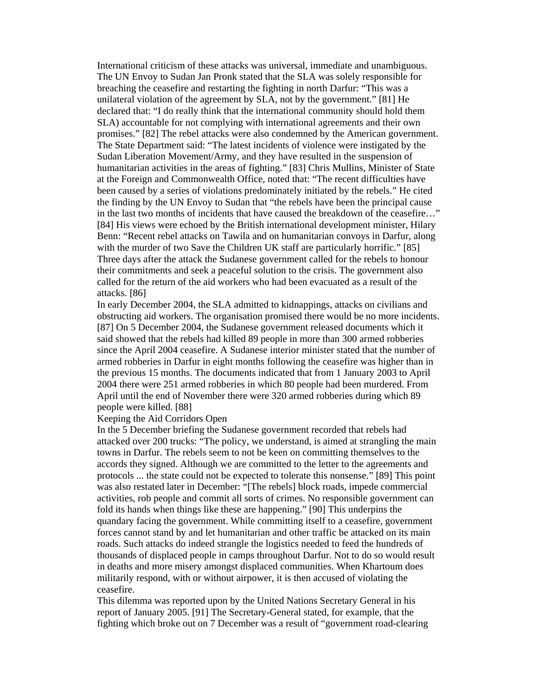International criticism of these attacks was universal, immediate and unambiguous. The UN Envoy to Sudan Jan Pronk stated that the SLA was solely responsible for breaching the ceasefire and restarting the fighting in north Darfur: "This was a unilateral violation of the agreement by SLA, not by the government." [81] He declared that: "I do really think that the international community should hold them SLA) accountable for not complying with international agreements and their own promises." [82] The rebel attacks were also condemned by the American government. The State Department said: "The latest incidents of violence were instigated by the Sudan Liberation Movement/Army, and they have resulted in the suspension of humanitarian activities in the areas of fighting." [83] Chris Mullins, Minister of State at the Foreign and Commonwealth Office, noted that: "The recent difficulties have been caused by a series of violations predominately initiated by the rebels." He cited the finding by the UN Envoy to Sudan that "the rebels have been the principal cause in the last two months of incidents that have caused the breakdown of the ceasefire…" [84] His views were echoed by the British international development minister, Hilary Benn: "Recent rebel attacks on Tawila and on humanitarian convoys in Darfur, along with the murder of two Save the Children UK staff are particularly horrific." [85] Three days after the attack the Sudanese government called for the rebels to honour their commitments and seek a peaceful solution to the crisis. The government also called for the return of the aid workers who had been evacuated as a result of the attacks. [86]

In early December 2004, the SLA admitted to kidnappings, attacks on civilians and obstructing aid workers. The organisation promised there would be no more incidents. [87] On 5 December 2004, the Sudanese government released documents which it said showed that the rebels had killed 89 people in more than 300 armed robberies since the April 2004 ceasefire. A Sudanese interior minister stated that the number of armed robberies in Darfur in eight months following the ceasefire was higher than in the previous 15 months. The documents indicated that from 1 January 2003 to April 2004 there were 251 armed robberies in which 80 people had been murdered. From April until the end of November there were 320 armed robberies during which 89 people were killed. [88]

## Keeping the Aid Corridors Open

In the 5 December briefing the Sudanese government recorded that rebels had attacked over 200 trucks: "The policy, we understand, is aimed at strangling the main towns in Darfur. The rebels seem to not be keen on committing themselves to the accords they signed. Although we are committed to the letter to the agreements and protocols ... the state could not be expected to tolerate this nonsense." [89] This point was also restated later in December: "[The rebels] block roads, impede commercial activities, rob people and commit all sorts of crimes. No responsible government can fold its hands when things like these are happening." [90] This underpins the quandary facing the government. While committing itself to a ceasefire, government forces cannot stand by and let humanitarian and other traffic be attacked on its main roads. Such attacks do indeed strangle the logistics needed to feed the hundreds of thousands of displaced people in camps throughout Darfur. Not to do so would result in deaths and more misery amongst displaced communities. When Khartoum does militarily respond, with or without airpower, it is then accused of violating the ceasefire.

This dilemma was reported upon by the United Nations Secretary General in his report of January 2005. [91] The Secretary-General stated, for example, that the fighting which broke out on 7 December was a result of "government road-clearing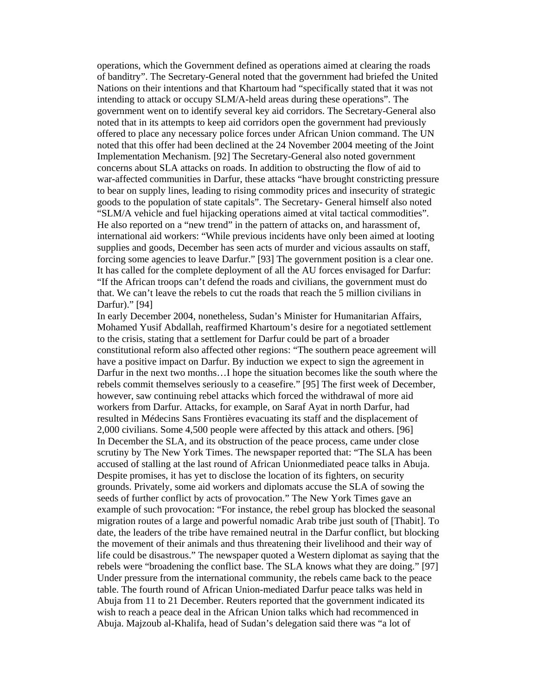operations, which the Government defined as operations aimed at clearing the roads of banditry". The Secretary-General noted that the government had briefed the United Nations on their intentions and that Khartoum had "specifically stated that it was not intending to attack or occupy SLM/A-held areas during these operations". The government went on to identify several key aid corridors. The Secretary-General also noted that in its attempts to keep aid corridors open the government had previously offered to place any necessary police forces under African Union command. The UN noted that this offer had been declined at the 24 November 2004 meeting of the Joint Implementation Mechanism. [92] The Secretary-General also noted government concerns about SLA attacks on roads. In addition to obstructing the flow of aid to war-affected communities in Darfur, these attacks "have brought constricting pressure to bear on supply lines, leading to rising commodity prices and insecurity of strategic goods to the population of state capitals". The Secretary- General himself also noted "SLM/A vehicle and fuel hijacking operations aimed at vital tactical commodities". He also reported on a "new trend" in the pattern of attacks on, and harassment of, international aid workers: "While previous incidents have only been aimed at looting supplies and goods, December has seen acts of murder and vicious assaults on staff, forcing some agencies to leave Darfur." [93] The government position is a clear one. It has called for the complete deployment of all the AU forces envisaged for Darfur: "If the African troops can't defend the roads and civilians, the government must do that. We can't leave the rebels to cut the roads that reach the 5 million civilians in Darfur)." [94]

In early December 2004, nonetheless, Sudan's Minister for Humanitarian Affairs, Mohamed Yusif Abdallah, reaffirmed Khartoum's desire for a negotiated settlement to the crisis, stating that a settlement for Darfur could be part of a broader constitutional reform also affected other regions: "The southern peace agreement will have a positive impact on Darfur. By induction we expect to sign the agreement in Darfur in the next two months…I hope the situation becomes like the south where the rebels commit themselves seriously to a ceasefire." [95] The first week of December, however, saw continuing rebel attacks which forced the withdrawal of more aid workers from Darfur. Attacks, for example, on Saraf Ayat in north Darfur, had resulted in Médecins Sans Frontières evacuating its staff and the displacement of 2,000 civilians. Some 4,500 people were affected by this attack and others. [96] In December the SLA, and its obstruction of the peace process, came under close scrutiny by The New York Times. The newspaper reported that: "The SLA has been accused of stalling at the last round of African Unionmediated peace talks in Abuja. Despite promises, it has yet to disclose the location of its fighters, on security grounds. Privately, some aid workers and diplomats accuse the SLA of sowing the seeds of further conflict by acts of provocation." The New York Times gave an example of such provocation: "For instance, the rebel group has blocked the seasonal migration routes of a large and powerful nomadic Arab tribe just south of [Thabit]. To date, the leaders of the tribe have remained neutral in the Darfur conflict, but blocking the movement of their animals and thus threatening their livelihood and their way of life could be disastrous." The newspaper quoted a Western diplomat as saying that the rebels were "broadening the conflict base. The SLA knows what they are doing." [97] Under pressure from the international community, the rebels came back to the peace table. The fourth round of African Union-mediated Darfur peace talks was held in Abuja from 11 to 21 December. Reuters reported that the government indicated its wish to reach a peace deal in the African Union talks which had recommenced in Abuja. Majzoub al-Khalifa, head of Sudan's delegation said there was "a lot of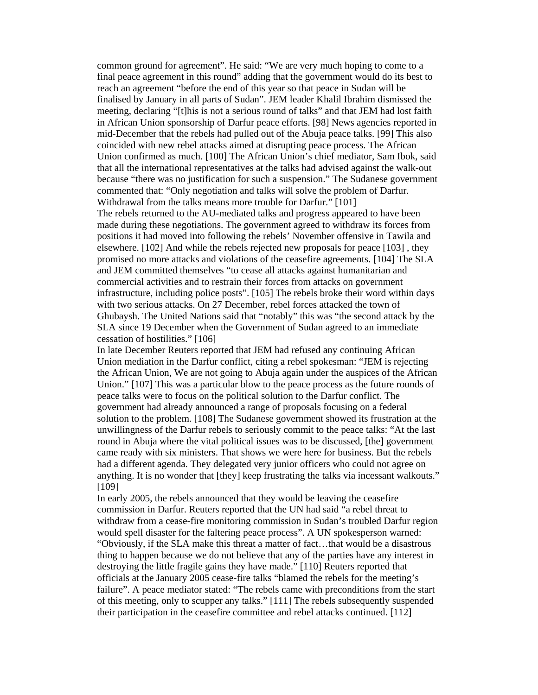common ground for agreement". He said: "We are very much hoping to come to a final peace agreement in this round" adding that the government would do its best to reach an agreement "before the end of this year so that peace in Sudan will be finalised by January in all parts of Sudan". JEM leader Khalil Ibrahim dismissed the meeting, declaring "[t]his is not a serious round of talks" and that JEM had lost faith in African Union sponsorship of Darfur peace efforts. [98] News agencies reported in mid-December that the rebels had pulled out of the Abuja peace talks. [99] This also coincided with new rebel attacks aimed at disrupting peace process. The African Union confirmed as much. [100] The African Union's chief mediator, Sam Ibok, said that all the international representatives at the talks had advised against the walk-out because "there was no justification for such a suspension." The Sudanese government commented that: "Only negotiation and talks will solve the problem of Darfur. Withdrawal from the talks means more trouble for Darfur." [101]

The rebels returned to the AU-mediated talks and progress appeared to have been made during these negotiations. The government agreed to withdraw its forces from positions it had moved into following the rebels' November offensive in Tawila and elsewhere. [102] And while the rebels rejected new proposals for peace [103] , they promised no more attacks and violations of the ceasefire agreements. [104] The SLA and JEM committed themselves "to cease all attacks against humanitarian and commercial activities and to restrain their forces from attacks on government infrastructure, including police posts". [105] The rebels broke their word within days with two serious attacks. On 27 December, rebel forces attacked the town of Ghubaysh. The United Nations said that "notably" this was "the second attack by the SLA since 19 December when the Government of Sudan agreed to an immediate cessation of hostilities." [106]

In late December Reuters reported that JEM had refused any continuing African Union mediation in the Darfur conflict, citing a rebel spokesman: "JEM is rejecting the African Union, We are not going to Abuja again under the auspices of the African Union." [107] This was a particular blow to the peace process as the future rounds of peace talks were to focus on the political solution to the Darfur conflict. The government had already announced a range of proposals focusing on a federal solution to the problem. [108] The Sudanese government showed its frustration at the unwillingness of the Darfur rebels to seriously commit to the peace talks: "At the last round in Abuja where the vital political issues was to be discussed, [the] government came ready with six ministers. That shows we were here for business. But the rebels had a different agenda. They delegated very junior officers who could not agree on anything. It is no wonder that [they] keep frustrating the talks via incessant walkouts." [109]

In early 2005, the rebels announced that they would be leaving the ceasefire commission in Darfur. Reuters reported that the UN had said "a rebel threat to withdraw from a cease-fire monitoring commission in Sudan's troubled Darfur region would spell disaster for the faltering peace process". A UN spokesperson warned: "Obviously, if the SLA make this threat a matter of fact…that would be a disastrous thing to happen because we do not believe that any of the parties have any interest in destroying the little fragile gains they have made." [110] Reuters reported that officials at the January 2005 cease-fire talks "blamed the rebels for the meeting's failure". A peace mediator stated: "The rebels came with preconditions from the start of this meeting, only to scupper any talks." [111] The rebels subsequently suspended their participation in the ceasefire committee and rebel attacks continued. [112]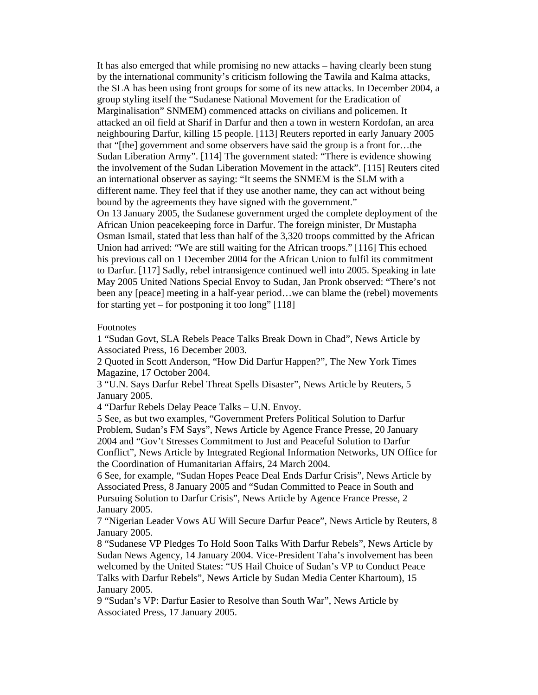It has also emerged that while promising no new attacks – having clearly been stung by the international community's criticism following the Tawila and Kalma attacks, the SLA has been using front groups for some of its new attacks. In December 2004, a group styling itself the "Sudanese National Movement for the Eradication of Marginalisation" SNMEM) commenced attacks on civilians and policemen. It attacked an oil field at Sharif in Darfur and then a town in western Kordofan, an area neighbouring Darfur, killing 15 people. [113] Reuters reported in early January 2005 that "[the] government and some observers have said the group is a front for…the Sudan Liberation Army". [114] The government stated: "There is evidence showing the involvement of the Sudan Liberation Movement in the attack". [115] Reuters cited an international observer as saying: "It seems the SNMEM is the SLM with a different name. They feel that if they use another name, they can act without being bound by the agreements they have signed with the government." On 13 January 2005, the Sudanese government urged the complete deployment of the African Union peacekeeping force in Darfur. The foreign minister, Dr Mustapha

Osman Ismail, stated that less than half of the 3,320 troops committed by the African Union had arrived: "We are still waiting for the African troops." [116] This echoed his previous call on 1 December 2004 for the African Union to fulfil its commitment to Darfur. [117] Sadly, rebel intransigence continued well into 2005. Speaking in late May 2005 United Nations Special Envoy to Sudan, Jan Pronk observed: "There's not been any [peace] meeting in a half-year period…we can blame the (rebel) movements for starting yet – for postponing it too long"  $[118]$ 

## Footnotes

1 "Sudan Govt, SLA Rebels Peace Talks Break Down in Chad", News Article by Associated Press, 16 December 2003.

2 Quoted in Scott Anderson, "How Did Darfur Happen?", The New York Times Magazine, 17 October 2004.

3 "U.N. Says Darfur Rebel Threat Spells Disaster", News Article by Reuters, 5 January 2005.

4 "Darfur Rebels Delay Peace Talks – U.N. Envoy.

5 See, as but two examples, "Government Prefers Political Solution to Darfur Problem, Sudan's FM Says", News Article by Agence France Presse, 20 January 2004 and "Gov't Stresses Commitment to Just and Peaceful Solution to Darfur Conflict", News Article by Integrated Regional Information Networks, UN Office for the Coordination of Humanitarian Affairs, 24 March 2004.

6 See, for example, "Sudan Hopes Peace Deal Ends Darfur Crisis", News Article by Associated Press, 8 January 2005 and "Sudan Committed to Peace in South and Pursuing Solution to Darfur Crisis", News Article by Agence France Presse, 2 January 2005.

7 "Nigerian Leader Vows AU Will Secure Darfur Peace", News Article by Reuters, 8 January 2005.

8 "Sudanese VP Pledges To Hold Soon Talks With Darfur Rebels", News Article by Sudan News Agency, 14 January 2004. Vice-President Taha's involvement has been welcomed by the United States: "US Hail Choice of Sudan's VP to Conduct Peace Talks with Darfur Rebels", News Article by Sudan Media Center Khartoum), 15 January 2005.

9 "Sudan's VP: Darfur Easier to Resolve than South War", News Article by Associated Press, 17 January 2005.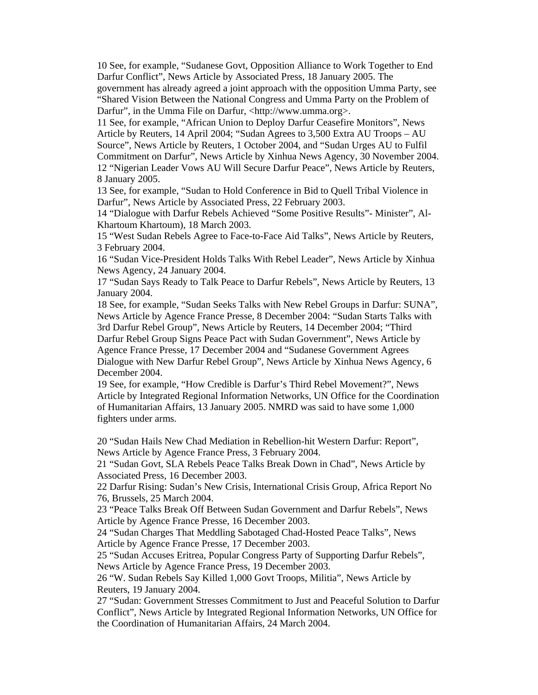10 See, for example, "Sudanese Govt, Opposition Alliance to Work Together to End Darfur Conflict", News Article by Associated Press, 18 January 2005. The government has already agreed a joint approach with the opposition Umma Party, see "Shared Vision Between the National Congress and Umma Party on the Problem of Darfur", in the Umma File on Darfur, <http://www.umma.org>.

11 See, for example, "African Union to Deploy Darfur Ceasefire Monitors", News Article by Reuters, 14 April 2004; "Sudan Agrees to 3,500 Extra AU Troops – AU Source", News Article by Reuters, 1 October 2004, and "Sudan Urges AU to Fulfil Commitment on Darfur", News Article by Xinhua News Agency, 30 November 2004. 12 "Nigerian Leader Vows AU Will Secure Darfur Peace", News Article by Reuters, 8 January 2005.

13 See, for example, "Sudan to Hold Conference in Bid to Quell Tribal Violence in Darfur", News Article by Associated Press, 22 February 2003.

14 "Dialogue with Darfur Rebels Achieved "Some Positive Results"- Minister", Al-Khartoum Khartoum), 18 March 2003.

15 "West Sudan Rebels Agree to Face-to-Face Aid Talks", News Article by Reuters, 3 February 2004.

16 "Sudan Vice-President Holds Talks With Rebel Leader", News Article by Xinhua News Agency, 24 January 2004.

17 "Sudan Says Ready to Talk Peace to Darfur Rebels", News Article by Reuters, 13 January 2004.

18 See, for example, "Sudan Seeks Talks with New Rebel Groups in Darfur: SUNA", News Article by Agence France Presse, 8 December 2004: "Sudan Starts Talks with 3rd Darfur Rebel Group", News Article by Reuters, 14 December 2004; "Third

Darfur Rebel Group Signs Peace Pact with Sudan Government", News Article by Agence France Presse, 17 December 2004 and "Sudanese Government Agrees Dialogue with New Darfur Rebel Group", News Article by Xinhua News Agency, 6 December 2004.

19 See, for example, "How Credible is Darfur's Third Rebel Movement?", News Article by Integrated Regional Information Networks, UN Office for the Coordination of Humanitarian Affairs, 13 January 2005. NMRD was said to have some 1,000 fighters under arms.

20 "Sudan Hails New Chad Mediation in Rebellion-hit Western Darfur: Report", News Article by Agence France Press, 3 February 2004.

21 "Sudan Govt, SLA Rebels Peace Talks Break Down in Chad", News Article by Associated Press, 16 December 2003.

22 Darfur Rising: Sudan's New Crisis, International Crisis Group, Africa Report No 76, Brussels, 25 March 2004.

23 "Peace Talks Break Off Between Sudan Government and Darfur Rebels", News Article by Agence France Presse, 16 December 2003.

24 "Sudan Charges That Meddling Sabotaged Chad-Hosted Peace Talks", News Article by Agence France Presse, 17 December 2003.

25 "Sudan Accuses Eritrea, Popular Congress Party of Supporting Darfur Rebels", News Article by Agence France Press, 19 December 2003.

26 "W. Sudan Rebels Say Killed 1,000 Govt Troops, Militia", News Article by Reuters, 19 January 2004.

27 "Sudan: Government Stresses Commitment to Just and Peaceful Solution to Darfur Conflict", News Article by Integrated Regional Information Networks, UN Office for the Coordination of Humanitarian Affairs, 24 March 2004.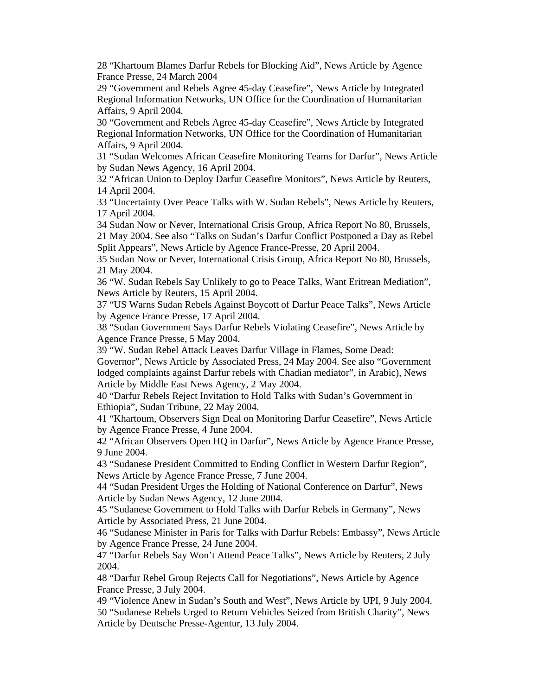28 "Khartoum Blames Darfur Rebels for Blocking Aid", News Article by Agence France Presse, 24 March 2004

29 "Government and Rebels Agree 45-day Ceasefire", News Article by Integrated Regional Information Networks, UN Office for the Coordination of Humanitarian Affairs, 9 April 2004.

30 "Government and Rebels Agree 45-day Ceasefire", News Article by Integrated Regional Information Networks, UN Office for the Coordination of Humanitarian Affairs, 9 April 2004.

31 "Sudan Welcomes African Ceasefire Monitoring Teams for Darfur", News Article by Sudan News Agency, 16 April 2004.

32 "African Union to Deploy Darfur Ceasefire Monitors", News Article by Reuters, 14 April 2004.

33 "Uncertainty Over Peace Talks with W. Sudan Rebels", News Article by Reuters, 17 April 2004.

34 Sudan Now or Never, International Crisis Group, Africa Report No 80, Brussels, 21 May 2004. See also "Talks on Sudan's Darfur Conflict Postponed a Day as Rebel

Split Appears", News Article by Agence France-Presse, 20 April 2004.

35 Sudan Now or Never, International Crisis Group, Africa Report No 80, Brussels, 21 May 2004.

36 "W. Sudan Rebels Say Unlikely to go to Peace Talks, Want Eritrean Mediation", News Article by Reuters, 15 April 2004.

37 "US Warns Sudan Rebels Against Boycott of Darfur Peace Talks", News Article by Agence France Presse, 17 April 2004.

38 "Sudan Government Says Darfur Rebels Violating Ceasefire", News Article by Agence France Presse, 5 May 2004.

39 "W. Sudan Rebel Attack Leaves Darfur Village in Flames, Some Dead:

Governor", News Article by Associated Press, 24 May 2004. See also "Government lodged complaints against Darfur rebels with Chadian mediator", in Arabic), News Article by Middle East News Agency, 2 May 2004.

40 "Darfur Rebels Reject Invitation to Hold Talks with Sudan's Government in Ethiopia", Sudan Tribune, 22 May 2004.

41 "Khartoum, Observers Sign Deal on Monitoring Darfur Ceasefire", News Article by Agence France Presse, 4 June 2004.

42 "African Observers Open HQ in Darfur", News Article by Agence France Presse, 9 June 2004.

43 "Sudanese President Committed to Ending Conflict in Western Darfur Region", News Article by Agence France Presse, 7 June 2004.

44 "Sudan President Urges the Holding of National Conference on Darfur", News Article by Sudan News Agency, 12 June 2004.

45 "Sudanese Government to Hold Talks with Darfur Rebels in Germany", News Article by Associated Press, 21 June 2004.

46 "Sudanese Minister in Paris for Talks with Darfur Rebels: Embassy", News Article by Agence France Presse, 24 June 2004.

47 "Darfur Rebels Say Won't Attend Peace Talks", News Article by Reuters, 2 July 2004.

48 "Darfur Rebel Group Rejects Call for Negotiations", News Article by Agence France Presse, 3 July 2004.

49 "Violence Anew in Sudan's South and West", News Article by UPI, 9 July 2004. 50 "Sudanese Rebels Urged to Return Vehicles Seized from British Charity", News Article by Deutsche Presse-Agentur, 13 July 2004.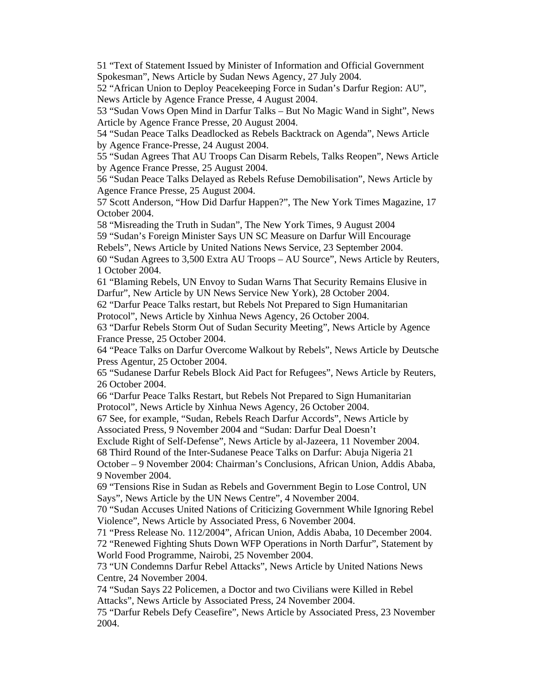51 "Text of Statement Issued by Minister of Information and Official Government Spokesman", News Article by Sudan News Agency, 27 July 2004.

52 "African Union to Deploy Peacekeeping Force in Sudan's Darfur Region: AU", News Article by Agence France Presse, 4 August 2004.

53 "Sudan Vows Open Mind in Darfur Talks – But No Magic Wand in Sight", News Article by Agence France Presse, 20 August 2004.

54 "Sudan Peace Talks Deadlocked as Rebels Backtrack on Agenda", News Article by Agence France-Presse, 24 August 2004.

55 "Sudan Agrees That AU Troops Can Disarm Rebels, Talks Reopen", News Article by Agence France Presse, 25 August 2004.

56 "Sudan Peace Talks Delayed as Rebels Refuse Demobilisation", News Article by Agence France Presse, 25 August 2004.

57 Scott Anderson, "How Did Darfur Happen?", The New York Times Magazine, 17 October 2004.

58 "Misreading the Truth in Sudan", The New York Times, 9 August 2004 59 "Sudan's Foreign Minister Says UN SC Measure on Darfur Will Encourage Rebels", News Article by United Nations News Service, 23 September 2004.

60 "Sudan Agrees to 3,500 Extra AU Troops – AU Source", News Article by Reuters, 1 October 2004.

61 "Blaming Rebels, UN Envoy to Sudan Warns That Security Remains Elusive in Darfur", New Article by UN News Service New York), 28 October 2004.

62 "Darfur Peace Talks restart, but Rebels Not Prepared to Sign Humanitarian Protocol", News Article by Xinhua News Agency, 26 October 2004.

63 "Darfur Rebels Storm Out of Sudan Security Meeting", News Article by Agence France Presse, 25 October 2004.

64 "Peace Talks on Darfur Overcome Walkout by Rebels", News Article by Deutsche Press Agentur, 25 October 2004.

65 "Sudanese Darfur Rebels Block Aid Pact for Refugees", News Article by Reuters, 26 October 2004.

66 "Darfur Peace Talks Restart, but Rebels Not Prepared to Sign Humanitarian Protocol", News Article by Xinhua News Agency, 26 October 2004.

67 See, for example, "Sudan, Rebels Reach Darfur Accords", News Article by Associated Press, 9 November 2004 and "Sudan: Darfur Deal Doesn't

Exclude Right of Self-Defense", News Article by al-Jazeera, 11 November 2004.

68 Third Round of the Inter-Sudanese Peace Talks on Darfur: Abuja Nigeria 21

October – 9 November 2004: Chairman's Conclusions, African Union, Addis Ababa, 9 November 2004.

69 "Tensions Rise in Sudan as Rebels and Government Begin to Lose Control, UN Says", News Article by the UN News Centre", 4 November 2004.

70 "Sudan Accuses United Nations of Criticizing Government While Ignoring Rebel Violence", News Article by Associated Press, 6 November 2004.

71 "Press Release No. 112/2004", African Union, Addis Ababa, 10 December 2004. 72 "Renewed Fighting Shuts Down WFP Operations in North Darfur", Statement by World Food Programme, Nairobi, 25 November 2004.

73 "UN Condemns Darfur Rebel Attacks", News Article by United Nations News Centre, 24 November 2004.

74 "Sudan Says 22 Policemen, a Doctor and two Civilians were Killed in Rebel Attacks", News Article by Associated Press, 24 November 2004.

75 "Darfur Rebels Defy Ceasefire", News Article by Associated Press, 23 November 2004.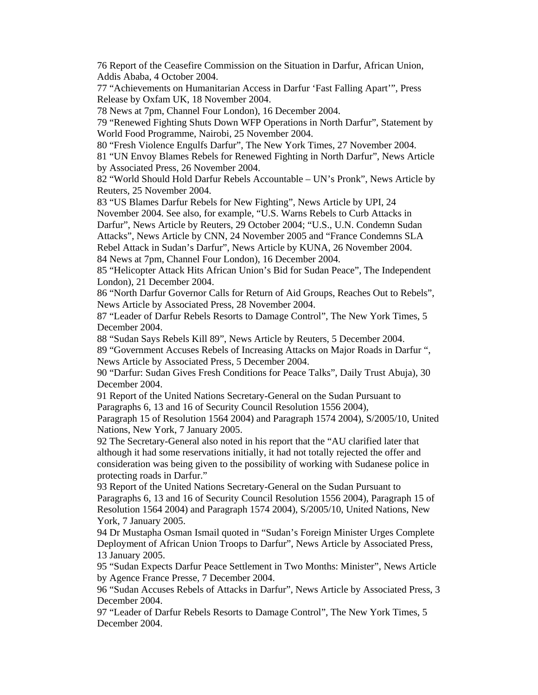76 Report of the Ceasefire Commission on the Situation in Darfur, African Union, Addis Ababa, 4 October 2004.

77 "Achievements on Humanitarian Access in Darfur 'Fast Falling Apart'", Press Release by Oxfam UK, 18 November 2004.

78 News at 7pm, Channel Four London), 16 December 2004.

79 "Renewed Fighting Shuts Down WFP Operations in North Darfur", Statement by World Food Programme, Nairobi, 25 November 2004.

80 "Fresh Violence Engulfs Darfur", The New York Times, 27 November 2004.

81 "UN Envoy Blames Rebels for Renewed Fighting in North Darfur", News Article by Associated Press, 26 November 2004.

82 "World Should Hold Darfur Rebels Accountable – UN's Pronk", News Article by Reuters, 25 November 2004.

83 "US Blames Darfur Rebels for New Fighting", News Article by UPI, 24 November 2004. See also, for example, "U.S. Warns Rebels to Curb Attacks in Darfur", News Article by Reuters, 29 October 2004; "U.S., U.N. Condemn Sudan Attacks", News Article by CNN, 24 November 2005 and "France Condemns SLA Rebel Attack in Sudan's Darfur", News Article by KUNA, 26 November 2004.

84 News at 7pm, Channel Four London), 16 December 2004.

85 "Helicopter Attack Hits African Union's Bid for Sudan Peace", The Independent London), 21 December 2004.

86 "North Darfur Governor Calls for Return of Aid Groups, Reaches Out to Rebels", News Article by Associated Press, 28 November 2004.

87 "Leader of Darfur Rebels Resorts to Damage Control", The New York Times, 5 December 2004.

88 "Sudan Says Rebels Kill 89", News Article by Reuters, 5 December 2004.

89 "Government Accuses Rebels of Increasing Attacks on Major Roads in Darfur ", News Article by Associated Press, 5 December 2004.

90 "Darfur: Sudan Gives Fresh Conditions for Peace Talks", Daily Trust Abuja), 30 December 2004.

91 Report of the United Nations Secretary-General on the Sudan Pursuant to Paragraphs 6, 13 and 16 of Security Council Resolution 1556 2004),

Paragraph 15 of Resolution 1564 2004) and Paragraph 1574 2004), S/2005/10, United Nations, New York, 7 January 2005.

92 The Secretary-General also noted in his report that the "AU clarified later that although it had some reservations initially, it had not totally rejected the offer and consideration was being given to the possibility of working with Sudanese police in protecting roads in Darfur."

93 Report of the United Nations Secretary-General on the Sudan Pursuant to Paragraphs 6, 13 and 16 of Security Council Resolution 1556 2004), Paragraph 15 of Resolution 1564 2004) and Paragraph 1574 2004), S/2005/10, United Nations, New York, 7 January 2005.

94 Dr Mustapha Osman Ismail quoted in "Sudan's Foreign Minister Urges Complete Deployment of African Union Troops to Darfur", News Article by Associated Press, 13 January 2005.

95 "Sudan Expects Darfur Peace Settlement in Two Months: Minister", News Article by Agence France Presse, 7 December 2004.

96 "Sudan Accuses Rebels of Attacks in Darfur", News Article by Associated Press, 3 December 2004.

97 "Leader of Darfur Rebels Resorts to Damage Control", The New York Times, 5 December 2004.